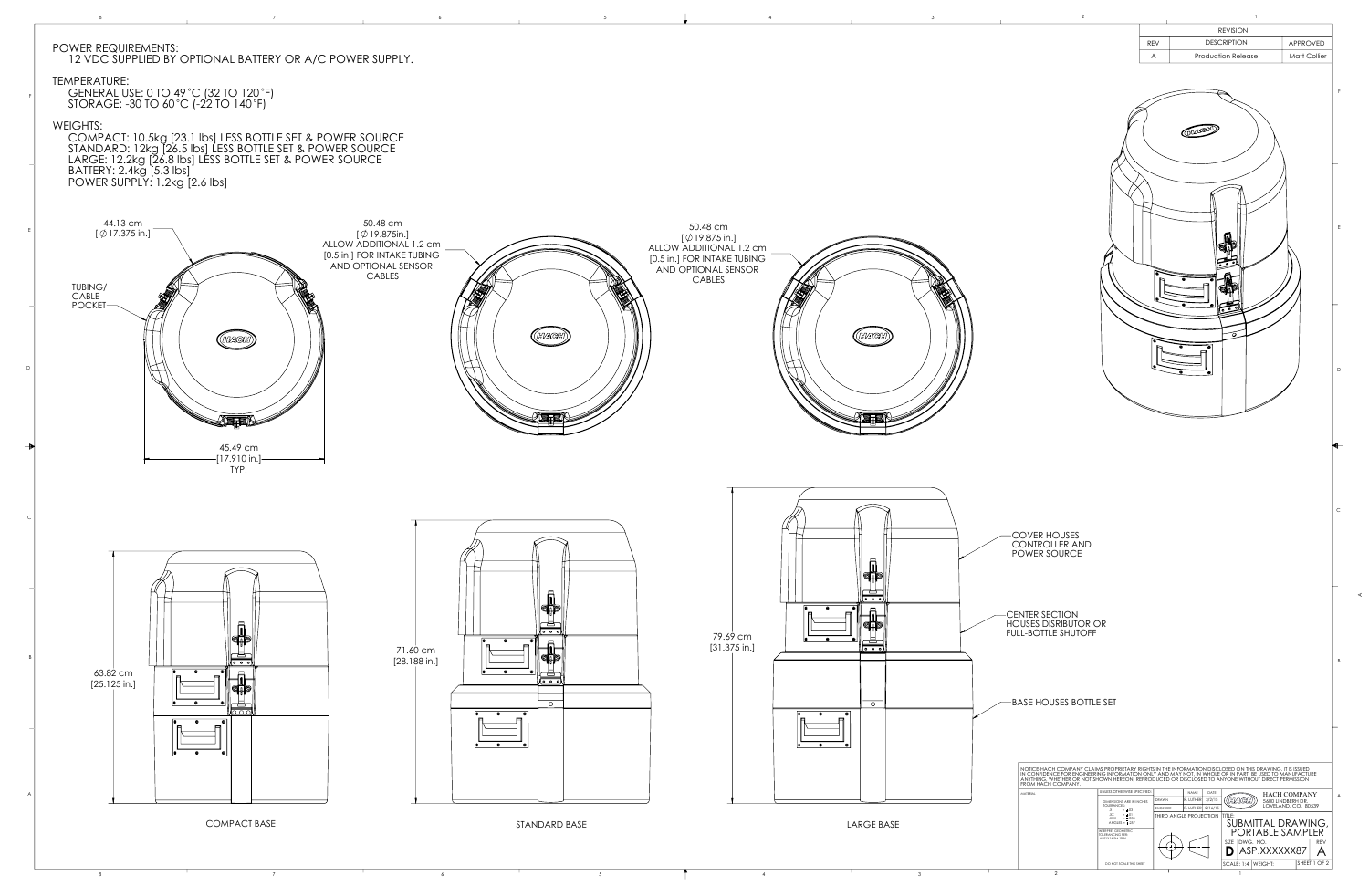COVER HOUSES CONTROLLER AND POWER SOURCE

CENTER SECTION HOUSES DISRIBUTOR OR FULL-BOTTLE SHUTOFF

BASE HOUSES BOTTLE SET



 $\begin{array}{ccc} & 7 & 6 & 3 \end{array}$ 

NOTICE-HACH COMPANY CLAIMS PROPRIETARY RIGHTS IN THE INFORMATION DISCLOSED ON THIS DRAWING. IT IS ISSUED IN CONFIDENCE FOR ENGINEERING INFORMATION ONLY AND MAY NOT, IN WHOLE OR IN PART, BE USED TO MANUFACTURE ANYTHING, WHETHER OR NOT SHOWN HEREON, REPRODUCED OR DISCLOSED TO ANYONE WITHOUT DIRECT PERMISSION FROM HACH COMPANY. **NLESS OTHERWISE SPECIFIED NAME** MATERIAL HACH COMPANY DRAWN 3/2/15 R. LUTHER DIMENSIONS ARE IN INCHES 5600 LINDBERH DR. LOVELAND, CO. 80539 TOLERANCES:<br>
.X = ±.03<br>
.XX = ±.01<br>
.XXX = ±.005<br>
ANGLES = ±.25° ENGINEER R. LUTHER 2/16/15 THIRD ANGLE PROJECTION |TITLE: SUBMITTAL DRAWING, PORTABLE SAMPLER INTERPRET GEOMETRIC TOLERANCING PER: ANSI Y14.5M 1994 DWG. NO. REV SIZE  $-$ (  $+$  ) $- - -$ **D** | ASP.XXXXXX87 A DO NOT SCALE THIS SHEET  $|SCALE: 1:4 |WEIGHT:$ SHEET 1 OF 2

C

 $\vert$  B

A